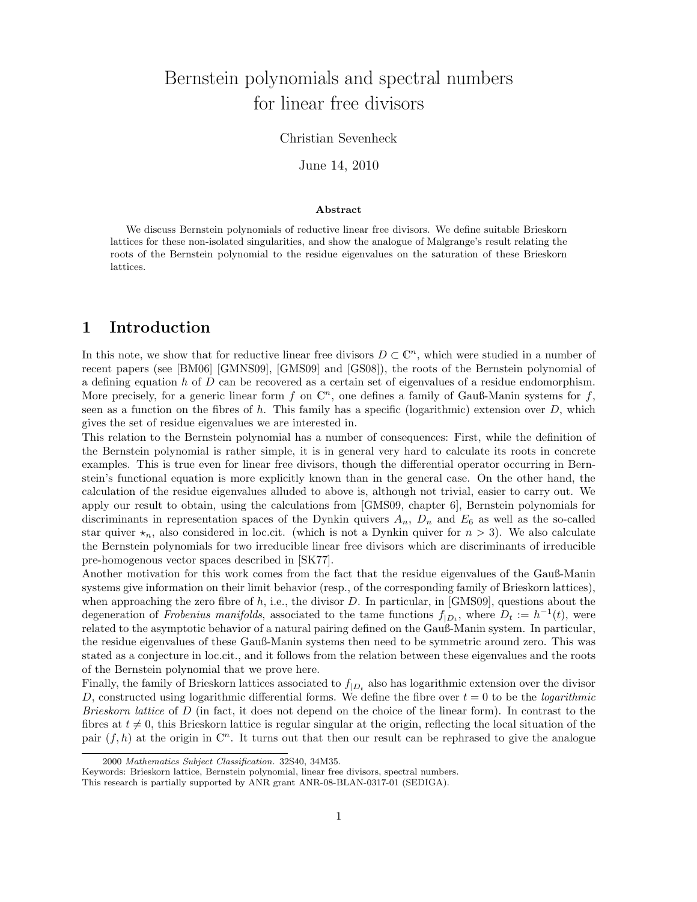# Bernstein polynomials and spectral numbers for linear free divisors

#### Christian Sevenheck

June 14, 2010

#### **Abstract**

We discuss Bernstein polynomials of reductive linear free divisors. We define suitable Brieskorn lattices for these non-isolated singularities, and show the analogue of Malgrange's result relating the roots of the Bernstein polynomial to the residue eigenvalues on the saturation of these Brieskorn lattices.

#### **1 Introduction**

In this note, we show that for reductive linear free divisors  $D \subset \mathbb{C}^n$ , which were studied in a number of recent papers (see [BM06] [GMNS09], [GMS09] and [GS08]), the roots of the Bernstein polynomial of a defining equation h of D can be recovered as a certain set of eigenvalues of a residue endomorphism. More precisely, for a generic linear form f on  $\mathbb{C}^n$ , one defines a family of Gauß-Manin systems for f, seen as a function on the fibres of h. This family has a specific (logarithmic) extension over  $D$ , which gives the set of residue eigenvalues we are interested in.

This relation to the Bernstein polynomial has a number of consequences: First, while the definition of the Bernstein polynomial is rather simple, it is in general very hard to calculate its roots in concrete examples. This is true even for linear free divisors, though the differential operator occurring in Bernstein's functional equation is more explicitly known than in the general case. On the other hand, the calculation of the residue eigenvalues alluded to above is, although not trivial, easier to carry out. We apply our result to obtain, using the calculations from [GMS09, chapter 6], Bernstein polynomials for discriminants in representation spaces of the Dynkin quivers  $A_n$ ,  $D_n$  and  $E_6$  as well as the so-called star quiver  $\star_n$ , also considered in loc.cit. (which is not a Dynkin quiver for  $n > 3$ ). We also calculate the Bernstein polynomials for two irreducible linear free divisors which are discriminants of irreducible pre-homogenous vector spaces described in [SK77].

Another motivation for this work comes from the fact that the residue eigenvalues of the Gauß-Manin systems give information on their limit behavior (resp., of the corresponding family of Brieskorn lattices), when approaching the zero fibre of h, i.e., the divisor  $D$ . In particular, in [GMS09], questions about the degeneration of *Frobenius manifolds*, associated to the tame functions  $f_{(D_1)}$ , where  $D_t := h^{-1}(t)$ , were related to the asymptotic behavior of a natural pairing defined on the Gauß-Manin system. In particular, the residue eigenvalues of these Gauß-Manin systems then need to be symmetric around zero. This was stated as a conjecture in loc.cit., and it follows from the relation between these eigenvalues and the roots of the Bernstein polynomial that we prove here.

Finally, the family of Brieskorn lattices associated to  $f_{|D_t}$  also has logarithmic extension over the divisor D, constructed using logarithmic differential forms. We define the fibre over  $t = 0$  to be the *logarithmic Brieskorn lattice* of D (in fact, it does not depend on the choice of the linear form). In contrast to the fibres at  $t \neq 0$ , this Brieskorn lattice is regular singular at the origin, reflecting the local situation of the pair  $(f, h)$  at the origin in  $\mathbb{C}^n$ . It turns out that then our result can be rephrased to give the analogue

<sup>2000</sup> *Mathematics Subject Classification.* 32S40, 34M35.

Keywords: Brieskorn lattice, Bernstein polynomial, linear free divisors, spectral numbers.

This research is partially supported by ANR grant ANR-08-BLAN-0317-01 (SEDIGA).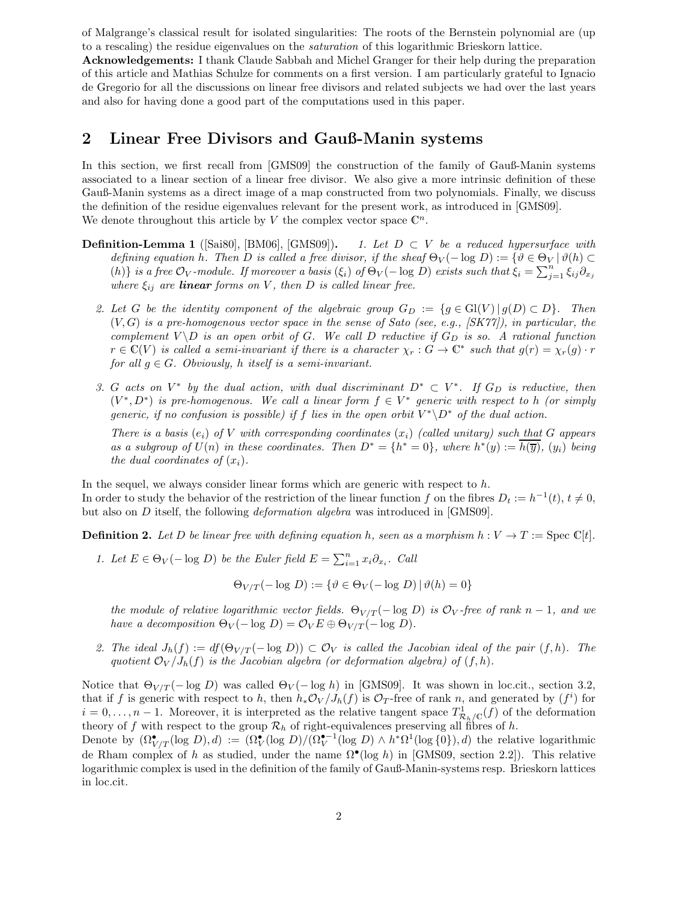of Malgrange's classical result for isolated singularities: The roots of the Bernstein polynomial are (up to a rescaling) the residue eigenvalues on the *saturation* of this logarithmic Brieskorn lattice.

**Acknowledgements:** I thank Claude Sabbah and Michel Granger for their help during the preparation of this article and Mathias Schulze for comments on a first version. I am particularly grateful to Ignacio de Gregorio for all the discussions on linear free divisors and related subjects we had over the last years and also for having done a good part of the computations used in this paper.

#### **2 Linear Free Divisors and Gauß-Manin systems**

In this section, we first recall from [GMS09] the construction of the family of Gauß-Manin systems associated to a linear section of a linear free divisor. We also give a more intrinsic definition of these Gauß-Manin systems as a direct image of a map constructed from two polynomials. Finally, we discuss the definition of the residue eigenvalues relevant for the present work, as introduced in [GMS09]. We denote throughout this article by V the complex vector space  $\mathbb{C}^n$ .

- **Definition-Lemma 1** ([Sai80], [BM06], [GMS09]). *1. Let*  $D \subset V$  *be a reduced hypersurface with defining equation* h. Then D is called a free divisor, if the sheaf  $\Theta_V(-\log D) := \{ \vartheta \in \Theta_V \mid \vartheta(h) \subset$ (h) *is a free*  $\mathcal{O}_V$ *-module. If moreover a basis* ( $\xi_i$ ) *of*  $\Theta_V(-\log D)$  *exists such that*  $\xi_i = \sum_{j=1}^n \xi_{ij}\partial_{x_j}$ <br>where  $\xi_i$ , are **linear** forms on V, then D is called linear free *where*  $\xi_{ij}$  *are linear forms on* V, *then* D *is called linear free.* 
	- 2. Let *G* be the identity component of the algebraic group  $G_D := \{g \in Gl(V) | g(D) \subset D\}$ . Then (V,G) *is a pre-homogenous vector space in the sense of Sato (see, e.g., [SK77]), in particular, the complement*  $V \ D$  *is an open orbit of* G. We call D reductive if  $G_D$  *is so. A rational function*  $r \in \mathbb{C}(V)$  *is called a semi-invariant if there is a character*  $\chi_r : G \to \mathbb{C}^*$  *such that*  $g(r) = \chi_r(g) \cdot r$ *for all*  $g \in G$ *. Obviously, h itself is a semi-invariant.*
	- *3.* G acts on  $V^*$  by the dual action, with dual discriminant  $D^* \subset V^*$ . If  $G_D$  is reductive, then  $(V^*, D^*)$  *is pre-homogenous. We call a linear form*  $f \in V^*$  *generic with respect to h (or simply generic, if no confusion is possible) if* f *lies in the open orbit*  $V^* \ D^*$  *of the dual action.*

*There is a basis*  $(e_i)$  *of* V *with corresponding coordinates*  $(x_i)$  *(called unitary) such that* G *appears as a subgroup of*  $U(n)$  *in these coordinates. Then*  $D^* = \{h^* = 0\}$ *, where*  $h^*(y) := h(\overline{y})$ *,*  $(y_i)$  *being the dual coordinates of*  $(x_i)$ *.* 

In the sequel, we always consider linear forms which are generic with respect to  $h$ . In order to study the behavior of the restriction of the linear function f on the fibres  $D_t := h^{-1}(t), t \neq 0$ , but also on D itself, the following *deformation algebra* was introduced in [GMS09].

**Definition 2.** Let D be linear free with defining equation h, seen as a morphism  $h: V \to T := \text{Spec } \mathbb{C}[t].$ 

*1. Let*  $E \in \Theta_V(-\log D)$  *be the Euler field*  $E = \sum_{i=1}^n x_i \partial_{x_i}$ *. Call* 

in loc.cit.

 $\Theta_{V/T}(-\log D) := {\partial \in \Theta_V(-\log D) | \vartheta(h)=0}$ 

*the module of relative logarithmic vector fields.*  $\Theta_{V/T}(-\log D)$  *is*  $\mathcal{O}_V$ -free of rank n − 1*, and we have a decomposition*  $\Theta_V(-\log D) = \mathcal{O}_V E \oplus \Theta_{V/T}(-\log D)$ *.* 

2. The ideal  $J_h(f) := df(\Theta_{V/T}(-\log D)) \subset \mathcal{O}_V$  is called the Jacobian ideal of the pair  $(f, h)$ . The *quotient*  $\mathcal{O}_V/J_h(f)$  *is the Jacobian algebra (or deformation algebra) of*  $(f, h)$ *.* 

Notice that  $\Theta_{V/T}(-\log D)$  was called  $\Theta_V(-\log h)$  in [GMS09]. It was shown in loc.cit., section 3.2, that if f is generic with respect to h, then  $h_*\mathcal{O}_V/J_h(f)$  is  $\mathcal{O}_T$ -free of rank n, and generated by  $(f^i)$  for  $i = 0, \ldots, n-1$ . Moreover, it is interpreted as the relative tangent space  $T_{\mathcal{R}_h/\mathbb{C}}^1(f)$  of the deformation theory of f with respect to the group  $\mathcal{R}_h$  of right-equivalences preserving all fibres of h. Denote by  $(\Omega^{\bullet}_{V/T}(\log D), d) := (\Omega^{\bullet}_{V}(\log D)/(\Omega^{\bullet-1}_{V}(\log D) \wedge h^*\Omega^1(\log \{0\}), d)$  the relative logarithmic de Rham complex of h as studied, under the name  $\Omega^{\bullet}(\log h)$  in [GMS09, section 2.2]). This relative logarithmic complex is used in the definition of the family of Gauß-Manin-systems resp. Brieskorn lattices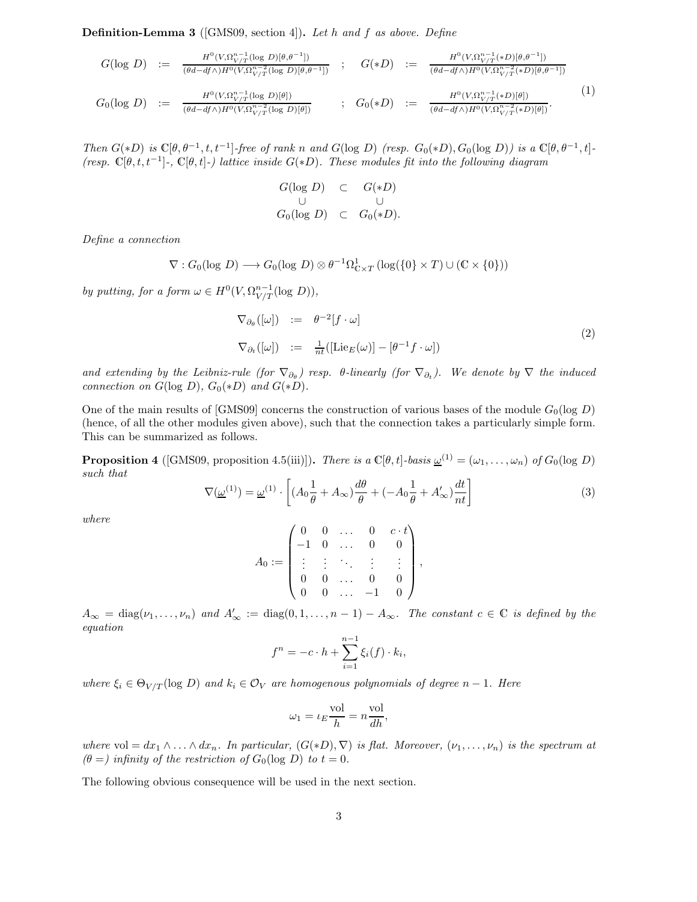**Definition-Lemma 3** ([GMS09, section 4])**.** *Let* h *and* f *as above. Define*

$$
G(\log D) := \frac{H^0(V, \Omega_{V/T}^{n-1}(\log D)[\theta, \theta^{-1}])}{(\theta d - df \wedge) H^0(V, \Omega_{V/T}^{n-2}(\log D)[\theta, \theta^{-1}])}; \quad G(*D) := \frac{H^0(V, \Omega_{V/T}^{n-1}(*D)[\theta, \theta^{-1}])}{(\theta d - df \wedge) H^0(V, \Omega_{V/T}^{n-2}(*D)[\theta, \theta^{-1}])}
$$
  
\n
$$
G_0(\log D) := \frac{H^0(V, \Omega_{V/T}^{n-1}(\log D)[\theta])}{(\theta d - df \wedge) H^0(V, \Omega_{V/T}^{n-2}(\log D)[\theta])}; \quad G_0(*D) := \frac{H^0(V, \Omega_{V/T}^{n-1}(*D)[\theta])}{(\theta d - df \wedge) H^0(V, \Omega_{V/T}^{n-2}(*D)[\theta])}.
$$
  
\n(1)

*Then*  $G(*D)$  *is*  $\mathbb{C}[\theta, \theta^{-1}, t, t^{-1}]$ -free of rank n and  $G(\log D)$  (resp.  $G_0(*D)$ ,  $G_0(\log D)$ ) is a  $\mathbb{C}[\theta, \theta^{-1}, t]$ -*(resp.* C[θ, t, t<sup>−</sup>1]*-,* C[θ, t]*-) lattice inside* G(∗D)*. These modules fit into the following diagram*

$$
G(\log D) \subset G(\ast D)
$$
  
\n
$$
G_0(\log D) \subset G_0(\ast D).
$$

*Define a connection*

$$
\nabla: G_0(\log D) \longrightarrow G_0(\log D) \otimes \theta^{-1} \Omega^1_{\mathbb{C} \times T} (\log(\{0\} \times T) \cup (\mathbb{C} \times \{0\}))
$$

*by putting, for a form*  $\omega \in H^0(V, \Omega^{n-1}_{V/T}(\log D)),$ 

$$
\nabla_{\partial_{\theta}}([\omega]) := \theta^{-2}[f \cdot \omega]
$$
  
\n
$$
\nabla_{\partial_t}([\omega]) := \frac{1}{n}([\text{Lie}_E(\omega)] - [\theta^{-1}f \cdot \omega])
$$
\n(2)

*and extending by the Leibniz-rule (for*  $\nabla_{\partial_{\theta}}$ ) resp.  $\theta$ -linearly (for  $\nabla_{\partial_t}$ ). We denote by  $\nabla$  *the induced connection on*  $G(\log D)$ *,*  $G_0(*D)$  *and*  $G(*D)$ *.* 

One of the main results of [GMS09] concerns the construction of various bases of the module  $G_0(\log D)$ (hence, of all the other modules given above), such that the connection takes a particularly simple form. This can be summarized as follows.

**Proposition 4** ([GMS09, proposition 4.5(iii)]). *There is a*  $\mathbb{C}[\theta, t]$ *-basis*  $\underline{\omega}^{(1)} = (\omega_1, \dots, \omega_n)$  *of*  $G_0(\log D)$ *such that*

$$
\nabla(\underline{\omega}^{(1)}) = \underline{\omega}^{(1)} \cdot \left[ (A_0 \frac{1}{\theta} + A_\infty) \frac{d\theta}{\theta} + (-A_0 \frac{1}{\theta} + A'_\infty) \frac{dt}{nt} \right]
$$
(3)

*where*

$$
A_0:=\begin{pmatrix} 0 & 0 & \dots & 0 & c\cdot t \\ -1 & 0 & \dots & 0 & 0 \\ \vdots & \vdots & \ddots & \vdots & \vdots \\ 0 & 0 & \dots & 0 & 0 \\ 0 & 0 & \dots & -1 & 0 \end{pmatrix},
$$

 $A_{\infty} = \text{diag}(\nu_1, \dots, \nu_n)$  and  $A'_{\infty} := \text{diag}(0, 1, \dots, n-1) - A_{\infty}$ . The constant  $c \in \mathbb{C}$  is defined by the *equation*

$$
f^{n} = -c \cdot h + \sum_{i=1}^{n-1} \xi_i(f) \cdot k_i,
$$

*where*  $\xi_i \in \Theta_{V/T}(\log D)$  *and*  $k_i \in \mathcal{O}_V$  *are homogenous polynomials of degree*  $n-1$ *. Here* 

$$
\omega_1 = \iota_E \frac{\text{vol}}{h} = n \frac{\text{vol}}{dh},
$$

*where* vol =  $dx_1 \wedge ... \wedge dx_n$ . In particular,  $(G(*D), \nabla)$  *is flat. Moreover,*  $(\nu_1, ..., \nu_n)$  *is the spectrum at*  $(\theta =)$  infinity of the restriction of  $G_0(\log D)$  to  $t = 0$ .

The following obvious consequence will be used in the next section.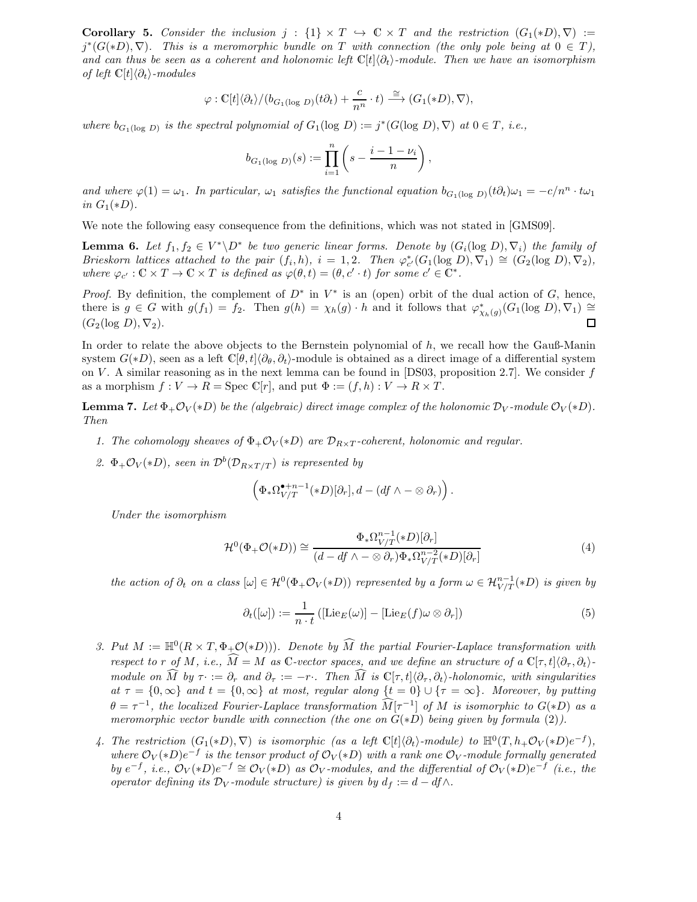**Corollary 5.** Consider the inclusion  $j : \{1\} \times T \hookrightarrow \mathbb{C} \times T$  and the restriction  $(G_1(*D), \nabla) :=$  $j^*(G(*D), \nabla)$ *. This is a meromorphic bundle on* T with connection (the only pole being at  $0 \in T$ ), and can thus be seen as a coherent and holonomic left  $\mathbb{C}[t]\langle \partial_t \rangle$ -module. Then we have an isomorphism *of left*  $\mathbb{C}[t]\langle \partial_t \rangle$ -modules

$$
\varphi : \mathbb{C}[t] \langle \partial_t \rangle / (b_{G_1(\log D)}(t \partial_t) + \frac{c}{n^n} \cdot t) \stackrel{\cong}{\longrightarrow} (G_1(*D), \nabla),
$$

*where*  $b_{G_1(\log D)}$  *is the spectral polynomial of*  $G_1(\log D) := j^*(G(\log D), \nabla)$  *at*  $0 \in T$ *, i.e.,* 

$$
b_{G_1(\log D)}(s) := \prod_{i=1}^n \left(s - \frac{i-1-\nu_i}{n}\right),
$$

*and where*  $\varphi(1) = \omega_1$ *. In particular,*  $\omega_1$  *satisfies the functional equation*  $b_{G_1(\log D)}(t\partial_t)\omega_1 = -c/n^n \cdot t\omega_1$ *in*  $G_1(*D)$ *.* 

We note the following easy consequence from the definitions, which was not stated in [GMS09].

**Lemma 6.** Let  $f_1, f_2 \in V^* \backslash D^*$  be two generic linear forms. Denote by  $(G_i(\log D), \nabla_i)$  the family of *Brieskorn lattices attached to the pair*  $(f_i, h)$ ,  $i = 1, 2$ *. Then*  $\varphi_{c'}^*(G_1(\log D), \nabla_1) \cong (G_2(\log D), \nabla_2)$ , *where*  $\varphi_{c'} : \mathbb{C} \times T \to \mathbb{C} \times T$  *is defined as*  $\varphi(\theta, t) = (\theta, c' \cdot t)$  *for some*  $c' \in \mathbb{C}^*$ *.* 

*Proof.* By definition, the complement of  $D^*$  in  $V^*$  is an (open) orbit of the dual action of G, hence, there is  $g \in G$  with  $g(f_1) = f_2$ . Then  $g(h) = \chi_h(g) \cdot h$  and it follows that  $\varphi^*_{\chi_h(g)}(G_1(\log D), \nabla_1) \cong$  $(G_2(\log D), \nabla_2).$ 

In order to relate the above objects to the Bernstein polynomial of h, we recall how the Gauß-Manin system  $G(*D)$ , seen as a left  $\mathbb{C}[\theta,t]\langle\partial_{\theta},\partial_{t}\rangle$ -module is obtained as a direct image of a differential system on V. A similar reasoning as in the next lemma can be found in [DS03, proposition 2.7]. We consider f as a morphism  $f: V \to R = \text{Spec } \mathbb{C}[r]$ , and put  $\Phi := (f, h): V \to R \times T$ .

**Lemma 7.** *Let*  $\Phi_+ \mathcal{O}_V(*D)$  *be the (algebraic) direct image complex of the holonomic*  $\mathcal{D}_V$ *-module*  $\mathcal{O}_V(*D)$ *. Then*

- *1. The cohomology sheaves of*  $\Phi_+ \mathcal{O}_V(*D)$  *are*  $\mathcal{D}_{R \times T}$ *-coherent, holonomic and regular.*
- 2.  $\Phi_+ \mathcal{O}_V(*D)$ *, seen in*  $\mathcal{D}^b(\mathcal{D}_{R \times T/T})$  *is represented by*

$$
\left(\Phi_*\Omega_{V/T}^{\bullet+n-1}(*D)[\partial_r],d-(df\wedge-\otimes\partial_r)\right).
$$

*Under the isomorphism*

$$
\mathcal{H}^0(\Phi_+\mathcal{O}(*D)) \cong \frac{\Phi_*\Omega_{V/T}^{n-1}(*D)[\partial_r]}{(d-df \wedge -\otimes \partial_r)\Phi_*\Omega_{V/T}^{n-2}(*D)[\partial_r]}
$$
(4)

*the action of*  $\partial_t$  *on a class*  $[\omega] \in \mathcal{H}^0(\Phi_+ \mathcal{O}_V(*D))$  *represented by a form*  $\omega \in \mathcal{H}_{V/T}^{n-1}(*D)$  *is given by* 

$$
\partial_t([\omega]) := \frac{1}{n \cdot t} \left( [\mathrm{Lie}_E(\omega)] - [\mathrm{Lie}_E(f)\omega \otimes \partial_r] \right) \tag{5}
$$

- *3. Put*  $M := \mathbb{H}^0(R \times T, \Phi_+ \mathcal{O}(*D))$ *. Denote by*  $M$  the partial Fourier-Laplace transformation with *respect to* r *of M*, *i.e.*,  $\widehat{M} = M$  *as*  $\mathbb{C}\text{-vector spaces}$ , and we define an structure of a  $\mathbb{C}[\tau, t]\langle \partial_{\tau}, \partial_t \rangle$ *module on*  $\widehat{M}$  by  $\tau := \partial_r$  and  $\partial_{\tau} := -r$ . Then  $\widehat{M}$  is  $\mathbb{C}[\tau, t](\partial_{\tau}, \partial_t)$ -holonomic, with singularities  $at \tau = \{0, \infty\}$  *and*  $t = \{0, \infty\}$  *at most, regular along*  $\{t = 0\} \cup \{\tau = \infty\}$ *. Moreover, by putting*  $\theta = \tau^{-1}$ , the localized Fourier-Laplace transformation  $\widehat{M}[\tau^{-1}]$  of M is isomorphic to  $G(*D)$  as a *meromorphic vector bundle with connection (the one on* G(∗D) *being given by formula* (2)*).*
- 4. The restriction  $(G_1(*D), \nabla)$  is isomorphic (as a left  $\mathbb{C}[t]\langle \partial_t \rangle$ -module) to  $\mathbb{H}^0(T, h_+\mathcal{O}_V(*D)e^{-f}),$ *where*  $\mathcal{O}_V(*D)e^{-f}$  *is the tensor product of*  $\mathcal{O}_V(*D)$  *with a rank one*  $\mathcal{O}_V$ *-module formally generated by*  $e^{-f}$ , *i.e.*,  $\mathcal{O}_V(*D)e^{-f} \cong \mathcal{O}_V(*D)$  *as*  $\mathcal{O}_V$ *-modules, and the differential of*  $\mathcal{O}_V(*D)e^{-f}$  (*i.e., the operator defining its*  $\mathcal{D}_V$ *-module structure) is given by*  $d_f := d - df \wedge d$ .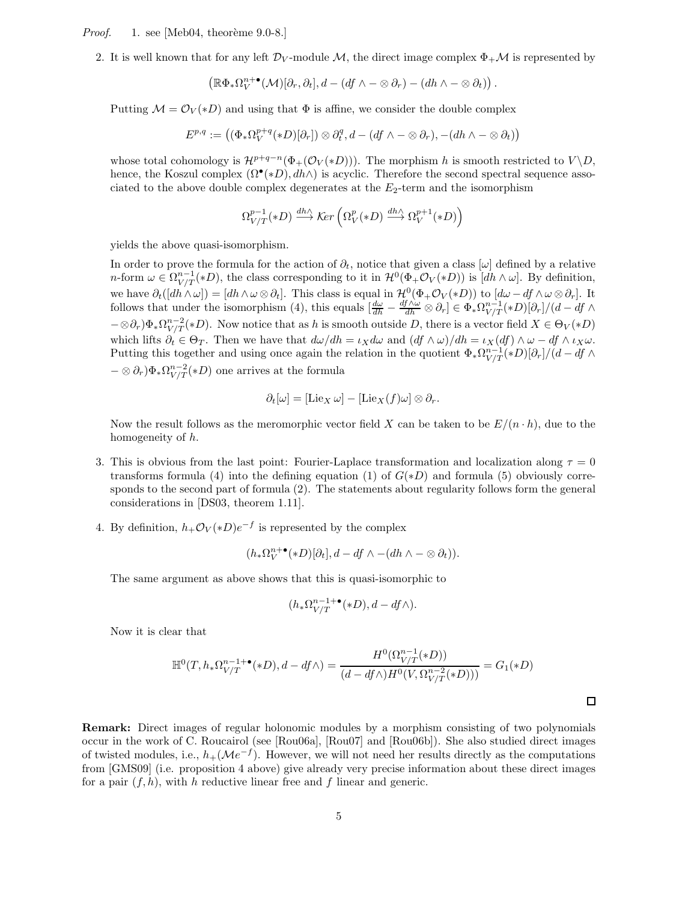*Proof.* 1. see [Meb04, theorème 9.0-8.]

2. It is well known that for any left  $\mathcal{D}_V$ -module M, the direct image complex  $\Phi_+\mathcal{M}$  is represented by

$$
\left(\mathbb{R}\Phi_*\Omega_V^{n+\bullet}(\mathcal{M})[\partial_r,\partial_t],d-(df\wedge-\otimes\partial_r)-(dh\wedge-\otimes\partial_t)\right).
$$

Putting  $\mathcal{M} = \mathcal{O}_V(*D)$  and using that  $\Phi$  is affine, we consider the double complex

$$
E^{p,q}:=\left((\Phi_*\Omega_V^{p+q}(*D)[\partial_r])\otimes \partial_t^q, d-(df\wedge-\otimes\partial_r), -(dh\wedge-\otimes\partial_t)\right)
$$

whose total cohomology is  $\mathcal{H}^{p+q-n}(\Phi_+(\mathcal{O}_V(*D)))$ . The morphism h is smooth restricted to  $V \setminus D$ , hence, the Koszul complex  $(\Omega^{\bullet}(*D), dh \wedge)$  is acyclic. Therefore the second spectral sequence associated to the above double complex degenerates at the  $E_2$ -term and the isomorphism

$$
\Omega_{V/T}^{p-1}(*D) \xrightarrow{dh \wedge} \text{Ker}\left(\Omega_V^p(*D) \xrightarrow{dh \wedge} \Omega_V^{p+1}(*D)\right)
$$

yields the above quasi-isomorphism.

In order to prove the formula for the action of  $\partial_t$ , notice that given a class [ $\omega$ ] defined by a relative n-form  $\omega \in \Omega_{V/T}^{n-1}(*D)$ , the class corresponding to it in  $\mathcal{H}^0(\Phi_+\mathcal{O}_V(*D))$  is  $[dh \wedge \omega]$ . By definition, we have  $\partial_t([dh \wedge \omega]) = [dh \wedge \omega \otimes \partial_t]$ . This class is equal in  $\mathcal{H}^0(\Phi_+ \mathcal{O}_V(*D))$  to  $[d\omega - df \wedge \omega \otimes \partial_r]$ . It follows that under the isomorphism (4), this equals  $\left[\frac{d\omega}{dh} - \frac{df \wedge \omega}{dh} \otimes \partial_r\right] \in \Phi_* \Omega_{V/T}^{n-1}(*D)[\partial_r$  $-\otimes \partial_r \Psi_* \Omega_{V/T}^{n-2}(*D)$ . Now notice that as h is smooth outside D, there is a vector field  $X \in \Theta_V(*D)$ which lifts  $\partial_t \in \Theta_T$ . Then we have that  $d\omega/dh = \iota_X d\omega$  and  $(df \wedge \omega)/dh = \iota_X(df) \wedge \omega - df \wedge \iota_X \omega$ . Putting this together and using once again the relation in the quotient  $\Phi_*\Omega_{V/T}^{n-1}(*D)[\partial_r]/(d-df\wedge$  $-\otimes \partial_r$ ) $\Phi_* \Omega_{V/T}^{n-2}(*D)$  one arrives at the formula

$$
\partial_t[\omega] = [\mathrm{Lie}_X \, \omega] - [\mathrm{Lie}_X (f) \omega] \otimes \partial_r.
$$

Now the result follows as the meromorphic vector field X can be taken to be  $E/(n \cdot h)$ , due to the homogeneity of h.

- 3. This is obvious from the last point: Fourier-Laplace transformation and localization along  $\tau = 0$ transforms formula (4) into the defining equation (1) of  $G(*D)$  and formula (5) obviously corresponds to the second part of formula (2). The statements about regularity follows form the general considerations in [DS03, theorem 1.11].
- 4. By definition,  $h_+ \mathcal{O}_V(*D)e^{-f}$  is represented by the complex

$$
(h_*\Omega_V^{n+\bullet}(*D)[\partial_t], d - df \wedge -(dh \wedge -\otimes \partial_t)).
$$

The same argument as above shows that this is quasi-isomorphic to

$$
(h_*\Omega_{V/T}^{n-1+\bullet}(*D), d - df \wedge).
$$

Now it is clear that

$$
\mathbb{H}^{0}(T, h_{*}\Omega_{V/T}^{n-1+\bullet}(*D), d - df \wedge) = \frac{H^{0}(\Omega_{V/T}^{n-1}(*D))}{(d - df \wedge)H^{0}(V, \Omega_{V/T}^{n-2}(*D)))} = G_{1}(*D)
$$

 $\Box$ 

**Remark:** Direct images of regular holonomic modules by a morphism consisting of two polynomials occur in the work of C. Roucairol (see [Rou06a], [Rou07] and [Rou06b]). She also studied direct images of twisted modules, i.e.,  $h_+(\mathcal{M}e^{-f})$ . However, we will not need her results directly as the computations from [GMS09] (i.e. proposition 4 above) give already very precise information about these direct images for a pair  $(f, h)$ , with h reductive linear free and f linear and generic.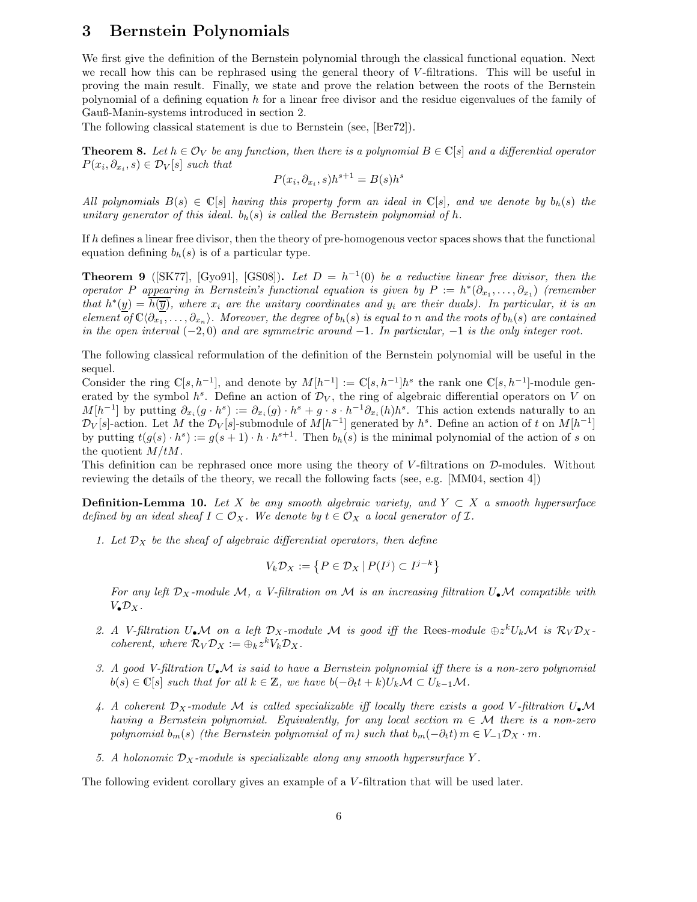### **3 Bernstein Polynomials**

We first give the definition of the Bernstein polynomial through the classical functional equation. Next we recall how this can be rephrased using the general theory of V-filtrations. This will be useful in proving the main result. Finally, we state and prove the relation between the roots of the Bernstein polynomial of a defining equation h for a linear free divisor and the residue eigenvalues of the family of Gauß-Manin-systems introduced in section 2.

The following classical statement is due to Bernstein (see, [Ber72]).

**Theorem 8.** Let  $h \in \mathcal{O}_V$  be any function, then there is a polynomial  $B \in \mathbb{C}[s]$  and a differential operator  $P(x_i, \partial_{x_i}, s) \in \mathcal{D}_V[s]$  *such that* 

$$
P(x_i, \partial_{x_i}, s)h^{s+1} = B(s)h^s
$$

*All polynomials*  $B(s) \in \mathbb{C}[s]$  *having this property form an ideal in*  $\mathbb{C}[s]$ *, and we denote by*  $b_h(s)$  *the unitary generator of this ideal.*  $b_h(s)$  *is called the Bernstein polynomial of h.* 

If h defines a linear free divisor, then the theory of pre-homogenous vector spaces shows that the functional equation defining  $b_h(s)$  is of a particular type.

**Theorem 9** ([SK77], [Gyo91], [GS08]). Let  $D = h^{-1}(0)$  be a reductive linear free divisor, then the *operator* P *appearing in Bernstein's functional equation is given by*  $P := h^*(\partial_{x_1}, \ldots, \partial_{x_n})$  *(remember that*  $h^*(y) = h(\overline{y})$ *, where*  $x_i$  *are the unitary coordinates and*  $y_i$  *are their duals). In particular, it is an element of*  $\mathbb{C}\langle \partial_{x_1}, \ldots, \partial_{x_n} \rangle$ . Moreover, the degree of  $b_h(s)$  is equal to n and the roots of  $b_h(s)$  are contained *in the open interval* (−2, 0) *and are symmetric around* −1*. In particular,* −1 *is the only integer root.*

The following classical reformulation of the definition of the Bernstein polynomial will be useful in the sequel.

Consider the ring  $\mathbb{C}[s, h^{-1}]$ , and denote by  $M[h^{-1}] := \mathbb{C}[s, h^{-1}]h^s$  the rank one  $\mathbb{C}[s, h^{-1}]$ -module generated by the symbol  $h^s$ . Define an action of  $\mathcal{D}_V$ , the ring of algebraic differential operators on V on  $M[h^{-1}]$  by putting  $\partial_{x_i}(g \cdot h^s) := \partial_{x_i}(g) \cdot h^s + g \cdot s \cdot h^{-1} \partial_{x_i}(h) h^s$ . This action extends naturally to an  $\mathcal{D}_V[s]$ -action. Let M the  $\mathcal{D}_V[s]$ -submodule of  $M[h^{-1}]$  generated by  $h^s$ . Define an action of t on  $M[h^{-1}]$ by putting  $t(g(s) \cdot h^s) := g(s+1) \cdot h \cdot h^{s+1}$ . Then  $b_h(s)$  is the minimal polynomial of the action of s on the quotient  $M/tM$ .

This definition can be rephrased once more using the theory of V-filtrations on D-modules. Without reviewing the details of the theory, we recall the following facts (see, e.g. [MM04, section 4])

**Definition-Lemma 10.** Let X be any smooth algebraic variety, and  $Y \subset X$  a smooth hypersurface *defined by an ideal sheaf*  $I \subset \mathcal{O}_X$ . We denote by  $t \in \mathcal{O}_X$  a local generator of  $I$ .

*1. Let*  $\mathcal{D}_X$  *be the sheaf of algebraic differential operators, then define* 

$$
V_k \mathcal{D}_X := \left\{ P \in \mathcal{D}_X \, | \, P(I^j) \subset I^{j-k} \right\}
$$

For any left  $\mathcal{D}_X$ -module M, a V-filtration on M is an increasing filtration  $U_\bullet \mathcal{M}$  compatible with  $V_{\bullet} \mathcal{D}_X$ .

- 2. A V-filtration  $U_{\bullet}M$  on a left  $\mathcal{D}_X$ -module M is good iff the Rees-module  $\oplus z^kU_kM$  is  $\mathcal{R}_V\mathcal{D}_X$ *coherent, where*  $\mathcal{R}_V \mathcal{D}_X := \bigoplus_k z^k V_k \mathcal{D}_X$ .
- *3. A good V-filtration* U•M *is said to have a Bernstein polynomial iff there is a non-zero polynomial*  $b(s) \in \mathbb{C}[s]$  *such that for all*  $k \in \mathbb{Z}$ *, we have*  $b(-\partial_t t + k)U_k \mathcal{M} \subset U_{k-1} \mathcal{M}$ *.*
- 4. A coherent  $D_X$ -module M is called specializable iff locally there exists a good V-filtration  $U_{\bullet}$ M *having a Bernstein polynomial. Equivalently, for any local section* m ∈ M *there is a non-zero polynomial*  $b_m(s)$  *(the Bernstein polynomial of* m*)* such that  $b_m(-\partial_t t)$  m ∈  $V_{-1}D_X \cdot m$ .
- 5. A holonomic  $\mathcal{D}_X$ -module is specializable along any smooth hypersurface Y.

The following evident corollary gives an example of a V-filtration that will be used later.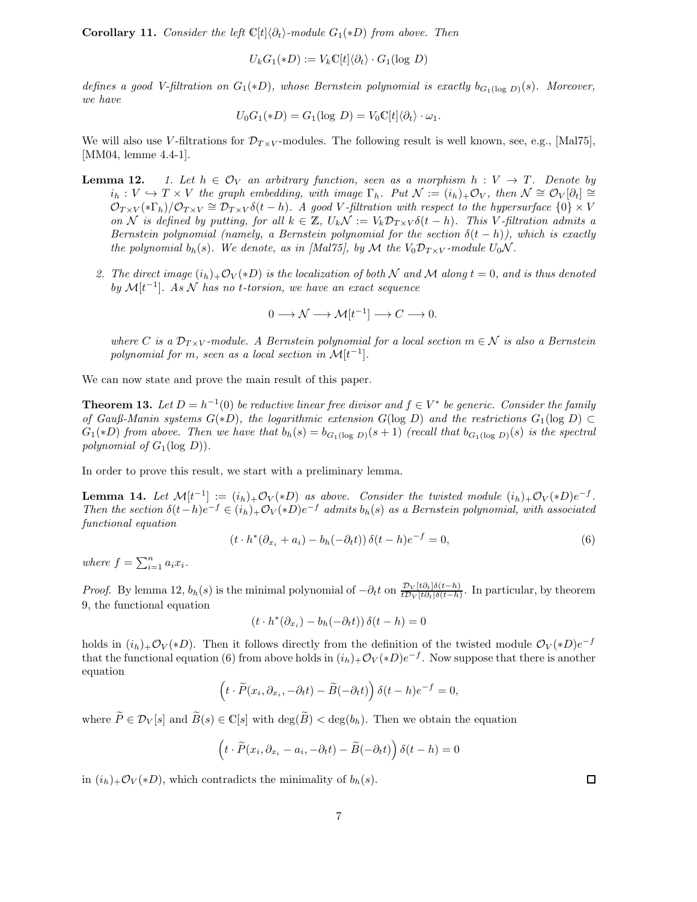**Corollary 11.** *Consider the left*  $\mathbb{C}[t]\langle \partial_t \rangle$ -module  $G_1(*D)$  *from above. Then* 

$$
U_k G_1(*D) := V_k \mathbb{C}[t] \langle \partial_t \rangle \cdot G_1(\log D)
$$

*defines a good V-filtration on*  $G_1(*D)$ *, whose Bernstein polynomial is exactly*  $b_{G_1(\log D)}(s)$ *. Moreover, we have*

$$
U_0G_1(*D) = G_1(\log D) = V_0\mathbb{C}[t]\langle \partial_t \rangle \cdot \omega_1.
$$

We will also use V-filtrations for  $\mathcal{D}_{T \times V}$ -modules. The following result is well known, see, e.g., [Mal75], [MM04, lemme 4.4-1].

- **Lemma 12.** *1. Let*  $h \in \mathcal{O}_V$  *an arbitrary function, seen as a morphism*  $h: V \to T$ *. Denote by*  $i_h: V \hookrightarrow T \times V$  *the graph embedding, with image*  $\Gamma_h$ *. Put*  $\mathcal{N} := (i_h)_+ \mathcal{O}_V$ *, then*  $\mathcal{N} \cong \mathcal{O}_V[\partial_t] \cong$  $\mathcal{O}_{T\times V}(*\Gamma_h)/\mathcal{O}_{T\times V}\cong \mathcal{D}_{T\times V}\delta(t-h)$ . A good V-filtration with respect to the hypersurface  $\{0\}\times V$ *on* N is defined by putting, for all  $k \in \mathbb{Z}$ ,  $U_k \mathcal{N} := V_k \mathcal{D}_{T \times V} \delta(t - h)$ . This V *-filtration admits a Bernstein polynomial (namely, a Bernstein polynomial for the section*  $\delta(t - h)$ *), which is exactly the polynomial*  $b_h(s)$ *. We denote, as in [Mal75], by* M *the*  $V_0D_{T\times V}$ *-module*  $U_0N$ *.* 
	- 2. The direct image  $(i_h)_{+}\mathcal{O}_V(*D)$  is the localization of both N and M along  $t = 0$ , and is thus denoted *by* M[t<sup>−</sup>1]*. As* N *has no* t*-torsion, we have an exact sequence*

$$
0 \longrightarrow \mathcal{N} \longrightarrow \mathcal{M}[t^{-1}] \longrightarrow C \longrightarrow 0.
$$

*where* C *is a*  $\mathcal{D}_{T \times V}$ *-module. A Bernstein polynomial for a local section*  $m \in \mathcal{N}$  *is also a Bernstein polynomial for*  $m$ *, seen as a local section in*  $\mathcal{M}[t^{-1}]$ *.* 

We can now state and prove the main result of this paper.

**Theorem 13.** Let  $D = h^{-1}(0)$  be reductive linear free divisor and  $f \in V^*$  be generic. Consider the family *of Gauß-Manin systems*  $G(*D)$ *, the logarithmic extension*  $G(\log D)$  *and the restrictions*  $G_1(\log D) \subset$  $G_1(*D)$  *from above. Then we have that*  $b_h(s) = b_{G_1(\log D)}(s+1)$  *(recall that*  $b_{G_1(\log D)}(s)$  *is the spectral polynomial of*  $G_1(\log D)$ .

In order to prove this result, we start with a preliminary lemma.

**Lemma 14.** *Let*  $\mathcal{M}[t^{-1}] := (i_h) + \mathcal{O}_V(*D)$  *as above. Consider the twisted module*  $(i_h) + \mathcal{O}_V(*D)e^{-f}$ .<br>Then the existen  $\delta(t-h)e^{-f} \in (i_h)$   $\mathcal{O}_V(*D)e^{-f}$  admits b (c) as a Bernatein polynomial with associated *Then the section*  $\delta(t-h)e^{-f} \in (i_h)_+\mathcal{O}_V(*D)e^{-f}$  *admits*  $b_h(s)$  *as a Bernstein polynomial, with associated functional equation*

$$
(t \cdot h^*(\partial_{x_i} + a_i) - b_h(-\partial_t t)) \delta(t - h)e^{-f} = 0,
$$
\n
$$
(6)
$$

where  $f = \sum_{i=1}^{n} a_i x_i$ .

*Proof.* By lemma 12,  $b_h(s)$  is the minimal polynomial of  $-\partial_t t$  on  $\frac{\mathcal{D}_V[t\partial_t]\delta(t-h)}{\mathcal{D}_V[t\partial_t]\delta(t-h)}$ . In particular, by theorem 0, the functional countion 9, the functional equation

$$
(t \cdot h^*(\partial_{x_i}) - b_h(-\partial_t t)) \, \delta(t - h) = 0
$$

holds in  $(i_h)_{+}\mathcal{O}_V(*D)$ . Then it follows directly from the definition of the twisted module  $\mathcal{O}_V(*D)e^{-f}$ that the functional equation (6) from above holds in  $(i_h)_+\mathcal{O}_V(*D)e^{-f}$ . Now suppose that there is another equation

$$
\left(t \cdot \widetilde{P}(x_i, \partial_{x_i}, -\partial_t t) - \widetilde{B}(-\partial_t t)\right) \delta(t-h)e^{-f} = 0,
$$

where  $\widetilde{P} \in \mathcal{D}_V[s]$  and  $\widetilde{B}(s) \in \mathbb{C}[s]$  with  $\deg(\widetilde{B}) < \deg(b_h)$ . Then we obtain the equation

$$
\left(t \cdot \widetilde{P}(x_i, \partial_{x_i} - a_i, -\partial_t t) - \widetilde{B}(-\partial_t t)\right) \delta(t - h) = 0
$$

in  $(i_h)_+ \mathcal{O}_V(*D)$ , which contradicts the minimality of  $b_h(s)$ .

 $\Box$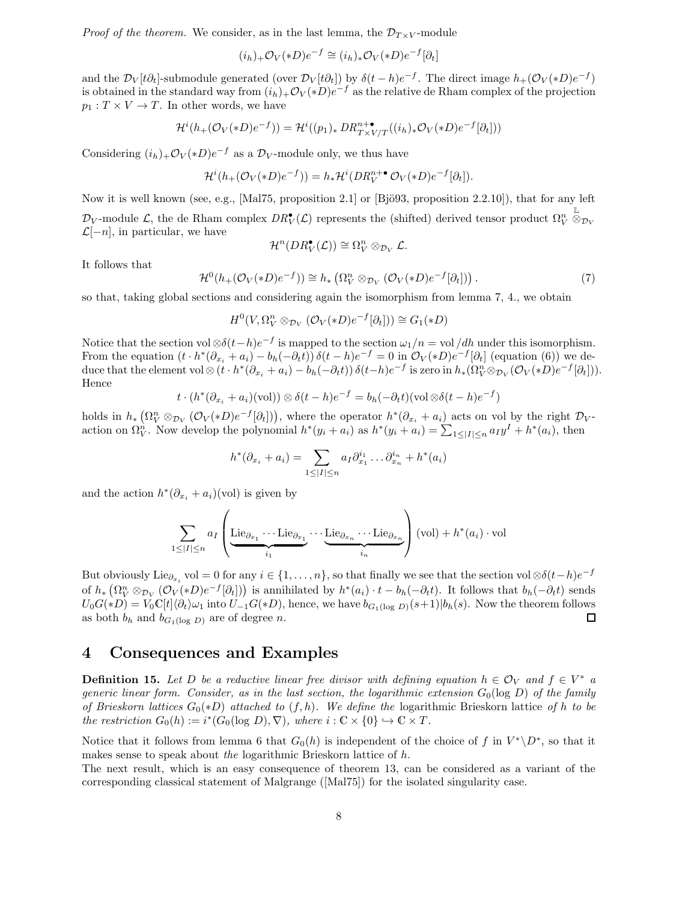*Proof of the theorem.* We consider, as in the last lemma, the  $\mathcal{D}_{T\times V}$ -module

$$
(i_h)_+ \mathcal{O}_V(*D)e^{-f} \cong (i_h)_* \mathcal{O}_V(*D)e^{-f}[\partial_t]
$$

and the  $\mathcal{D}_V[t\partial_t]$ -submodule generated (over  $\mathcal{D}_V[t\partial_t]$ ) by  $\delta(t-h)e^{-f}$ . The direct image  $h_+(\mathcal{O}_V(*D)e^{-f})$ is obtained in the standard way from  $(i_h)_{+}\mathcal{O}_V(*D)e^{-f}$  as the relative de Rham complex of the projection  $p_1: T \times V \to T$ . In other words, we have

$$
\mathcal{H}^i(h_+(\mathcal{O}_V(*D)e^{-f})) = \mathcal{H}^i((p_1)_* \, DR_{T \times V/T}^{n+\bullet}((i_h)_*\mathcal{O}_V(*D)e^{-f}[\partial_t]))
$$

Considering  $(i_h)_+ \mathcal{O}_V(*D)e^{-f}$  as a  $\mathcal{D}_V$ -module only, we thus have

$$
\mathcal{H}^i(h_+(\mathcal{O}_V(*D)e^{-f})) = h_*\mathcal{H}^i(DR_V^{n+\bullet}\mathcal{O}_V(*D)e^{-f}[\partial_t]).
$$

Now it is well known (see, e.g., [Mal75, proposition 2.1] or [Bjö93, proposition  $(2.2.10)$ ], that for any left  $\mathcal{D}_V$ -module  $\mathcal{L}$ , the de Rham complex  $DR_V^{\bullet}(\mathcal{L})$  represents the (shifted) derived tensor product  $\Omega_V^n$  $\stackrel{\mathbb{L}}{\otimes}_{\mathcal{D}_V}$  $\mathcal{L}[-n]$ , in particular, we have

$$
\mathcal{H}^n(DR_V^{\bullet}(\mathcal{L})) \cong \Omega_V^n \otimes_{\mathcal{D}_V} \mathcal{L}.
$$

It follows that

$$
\mathcal{H}^0(h_+(\mathcal{O}_V(*D)e^{-f})) \cong h_*\left(\Omega_V^n \otimes_{\mathcal{D}_V} (\mathcal{O}_V(*D)e^{-f}[\partial_t])\right). \tag{7}
$$

so that, taking global sections and considering again the isomorphism from lemma 7, 4., we obtain

$$
H^{0}(V, \Omega_{V}^{n} \otimes_{\mathcal{D}_{V}} (\mathcal{O}_{V}(*D)e^{-f}[\partial_{t}])) \cong G_{1}(*D)
$$

Notice that the section vol ⊗ $\delta(t-h)e^{-f}$  is mapped to the section  $\omega_1/n = \text{vol}/dh$  under this isomorphism. From the equation  $(t \cdot h^*(\partial_{x_i} + a_i) - b_h(-\partial_t t)) \delta(t-h)e^{-f} = 0$  in  $\mathcal{O}_V(*D)e^{-f}[\partial_t]$  (equation (6)) we deduce that the element vol  $\otimes (t \cdot h^*(\partial_{x_i} + a_i) - b_h(-\partial_t t)) \, \delta(t-h) e^{-f}$  is zero in  $h_*(\Omega_V^n \otimes_{\mathcal{D}_V} (\mathcal{O}_V(*D)e^{-f}[\partial_t]))$ . Hence

$$
t \cdot (h^*(\partial_{x_i} + a_i)(\text{vol})) \otimes \delta(t - h)e^{-f} = b_h(-\partial_t t)(\text{vol}\otimes \delta(t - h)e^{-f})
$$

holds in  $h_* \left( \Omega_V^n \otimes_{\mathcal{D}_V} (\mathcal{O}_V(*D)e^{-f}[\partial_t]) \right)$ , where the operator  $h^*(\partial_{x_i} + a_i)$  acts on vol by the right  $\mathcal{D}_V$ action on  $\Omega_V^n$ . Now develop the polynomial  $h^*(y_i + a_i)$  as  $h^*(y_i + a_i) = \sum_{1 \leq |I| \leq n} a_I y^I + h^*(a_i)$ , then

$$
h^*(\partial_{x_i} + a_i) = \sum_{1 \leq |I| \leq n} a_I \partial_{x_1}^{i_1} \dots \partial_{x_n}^{i_n} + h^*(a_i)
$$

and the action  $h^*(\partial_{x_i} + a_i)(\text{vol})$  is given by

$$
\sum_{1 \leq |I| \leq n} a_I \left( \underbrace{\text{Lie}_{\partial_{x_1}} \cdots \text{Lie}_{\partial_{x_1}}}_{i_1} \cdots \underbrace{\text{Lie}_{\partial_{x_n}} \cdots \text{Lie}_{\partial_{x_n}}}_{i_n} \right) (\text{vol}) + h^*(a_i) \cdot \text{vol}
$$

But obviously Lie<sub> $\partial_x$ </sub> vol = 0 for any  $i \in \{1,\ldots,n\}$ , so that finally we see that the section vol ⊗ $\delta(t-h)e^{-f}$ of  $h_* \left( \Omega_V^n \otimes_{\mathcal{D}_V} (\mathcal{O}_V(*D)e^{-f}[\partial_t] ) \right)$  is annihilated by  $h^*(a_i) \cdot t - b_h(-\partial_t t)$ . It follows that  $b_h(-\partial_t t)$  sends  $U_0G(*D) = V_0\mathbb{C}[t]\langle \partial_t \rangle \omega_1$  into  $U_{-1}G(*D)$ , hence, we have  $b_{G_1(\log D)}(s+1)|b_h(s)$ . Now the theorem follows as both  $b_h$  and  $b_{G_1(\log D)}$  are of degree n. as both  $b_h$  and  $b_{G_1(\log D)}$  are of degree n.

## **4 Consequences and Examples**

**Definition 15.** Let D be a reductive linear free divisor with defining equation  $h \in \mathcal{O}_V$  and  $f \in V^*$  a *generic linear form. Consider, as in the last section, the logarithmic extension*  $G_0(\log D)$  *of the family of Brieskorn lattices* <sup>G</sup>0(∗D) *attached to* (f, h)*. We define the* logarithmic Brieskorn lattice *of* <sup>h</sup> *to be the restriction*  $G_0(h) := i^*(G_0(\log D), \nabla)$ *, where*  $i : \mathbb{C} \times \{0\} \hookrightarrow \mathbb{C} \times T$ *.* 

Notice that it follows from lemma 6 that  $G_0(h)$  is independent of the choice of f in  $V^* \backslash D^*$ , so that it makes sense to speak about *the* logarithmic Brieskorn lattice of h.

The next result, which is an easy consequence of theorem 13, can be considered as a variant of the corresponding classical statement of Malgrange ([Mal75]) for the isolated singularity case.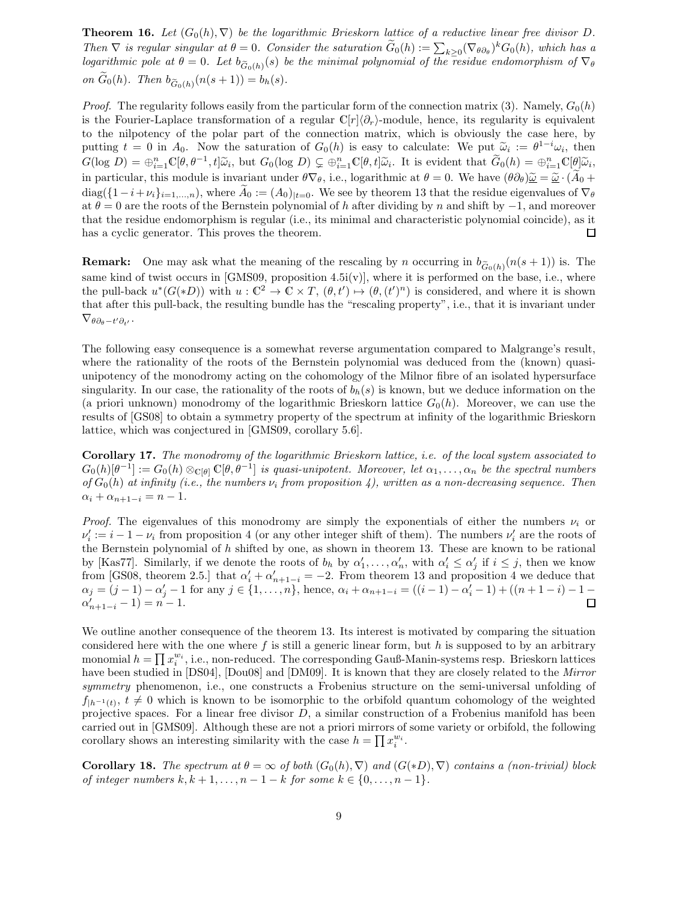**Theorem 16.** Let  $(G_0(h), \nabla)$  be the logarithmic Brieskorn lattice of a reductive linear free divisor D. *Then*  $\nabla$  *is regular singular at*  $\theta = 0$ *. Consider the saturation*  $\tilde{G}_0(h) := \sum_{k \geq 0} (\nabla_{\theta \partial_{\theta}})^k G_0(h)$ *, which has a*<br>logarithmic pole at  $\theta = 0$ , Let  $h_{\infty}$  (s) be the minimal polynomial of the residue end **Theorem 16.** Let  $(G_0(h), \nabla)$  be the logarithmic Brieskorn lattice of a reductive linear free divisor D.<br>
Then  $\nabla$  is regular singular at  $\theta = 0$ . Consider the saturation  $\tilde{G}_0(h) := \sum_{k \geq 0} (\nabla_{\theta \partial_{\theta}})^k G_0(h)$ , whi *Then*  $\nabla$  *is regular s*<br>*logarithmic pole at*<br>*on*  $\tilde{G}_0(h)$ *. Then*  $b_{\tilde{G}}$  $b_{0}(h)(n(s+1)) = b_{h}(s).$ 

*Proof.* The regularity follows easily from the particular form of the connection matrix (3). Namely,  $G_0(h)$ is the Fourier-Laplace transformation of a regular  $\mathbb{C}[r]\langle\partial_r\rangle$ -module, hence, its regularity is equivalent to the nilpotency of the polar part of the connection matrix, which is obviously the case here, by putting  $t = 0$  in  $A_0$ . Now the saturation of  $G_0(h)$  is easy to calculate: We put  $\tilde{\omega}_i := \theta^{1-i}\omega_i$ , then  $G(\log D) = \mathbb{R}^n$ ,  $G(a-1+i\tilde{\omega}_i)$  but  $G(\log D) \subset \mathbb{R}^n$ ,  $G(a+i\tilde{\omega}_i)$  is evident that  $\tilde{G}(h) = \mathbb{R}^n$ ,  $G(a)\$  $G(\log D) = \bigoplus_{i=1}^n \mathbb{C}[\theta, \theta^{-1}, t] \widetilde{\omega}_i$ , but  $G_0(\log D) \subsetneq \bigoplus_{i=1}^n \mathbb{C}[\theta, t] \widetilde{\omega}_i$ . It is evident that  $\widetilde{G}_0(h) = \bigoplus_{i=1}^n \mathbb{C}[\theta] \widetilde{\omega}_i$ , is noticed that  $\widetilde{G}_0(h) = \bigoplus_{i=1}^n \mathbb{C}[\theta] \widetilde{\omega}_i$ . in particular, this module is invariant under  $\theta \nabla_{\theta}$ , i.e., logarithmic at  $\theta = 0$ . We have  $(\theta \partial_{\theta})\tilde{\underline{\omega}} = \tilde{\underline{\omega}} \cdot (\tilde{A}_0 + \tilde{A}_0)$ diag( $\{1-i+\nu_i\}_{i=1,\dots,n}$ ), where  $A_0 := (A_0)_{|t=0}$ . We see by theorem 13 that the residue eigenvalues of  $\nabla_\theta$ at  $\theta = 0$  are the roots of the Bernstein polynomial of h after dividing by n and shift by  $-1$ , and moreover that the residue endomorphism is regular (i.e., its minimal and characteristic polynomial coincide), as it has a cyclic generator. This proves the theorem.  $\Box$ 

**Remark:** One may ask what the meaning of the rescaling by n occurring in  $b_{\tilde{G}_0(h)}(n(s + 1))$  is. The same lind of twist agency in [CMS00, proposition 4  $\tilde{E}(v)$ ] where it is performed on the base i.e. where same kind of twist occurs in [GMS09, proposition 4.5i(v)], where it is performed on the base, i.e., where the pull-back  $u^*(G(*D))$  with  $u: \mathbb{C}^2 \to \mathbb{C} \times T$ ,  $(\theta, t') \mapsto (\theta, (t')^n)$  is considered, and where it is shown that after this pull-back, the resulting bundle has the "rescaling property", i.e., that it is invariant under  $\nabla_{\theta\partial_{\theta}-t'\partial_{t'}}$ .

The following easy consequence is a somewhat reverse argumentation compared to Malgrange's result, where the rationality of the roots of the Bernstein polynomial was deduced from the (known) quasiunipotency of the monodromy acting on the cohomology of the Milnor fibre of an isolated hypersurface singularity. In our case, the rationality of the roots of  $b<sub>h</sub>(s)$  is known, but we deduce information on the (a priori unknown) monodromy of the logarithmic Brieskorn lattice  $G_0(h)$ . Moreover, we can use the results of [GS08] to obtain a symmetry property of the spectrum at infinity of the logarithmic Brieskorn lattice, which was conjectured in [GMS09, corollary 5.6].

**Corollary 17.** *The monodromy of the logarithmic Brieskorn lattice, i.e. of the local system associated to*  $G_0(h)[\theta^{-1}] := G_0(h) \otimes_{\mathbb{C}[\theta]} \mathbb{C}[\theta, \theta^{-1}]$  *is quasi-unipotent. Moreover, let*  $\alpha_1, \ldots, \alpha_n$  *be the spectral numbers*  $of G_0(h)$  *at infinity (i.e., the numbers*  $\nu_i$  *from proposition 4), written as a non-decreasing sequence. Then*  $\alpha_i + \alpha_{n+1-i} = n-1.$ 

*Proof.* The eigenvalues of this monodromy are simply the exponentials of either the numbers  $\nu_i$  or  $\nu'_i := i - 1 - \nu_i$  from proposition 4 (or any other integer shift of them). The numbers  $\nu'_i$  are the roots of the Bernstein polynomial of  $h$  shifted by one, as shown in theorem 13. These are known to be rational by [Kas77]. Similarly, if we denote the roots of  $b_h$  by  $\alpha'_1, \ldots, \alpha'_n$ , with  $\alpha'_i \leq \alpha'_j$  if  $i \leq j$ , then we know from [CS08, theorem 2.5.] that  $\alpha'_i + \alpha'_j = 2$ . From theorem 1.3 and proposition 4 we deduce that from [GS08, theorem 2.5.] that  $\alpha'_i + \alpha'_{n+1-i} = -2$ . From theorem 13 and proposition 4 we deduce that  $\alpha_j = (j-1) - \alpha'_j - 1$  for any  $j \in \{1, ..., n\}$ , hence,  $\alpha_i + \alpha_{n+1-i} = ((i-1) - \alpha'_i - 1) + ((n+1-i) - 1 - \alpha'_i - 1)$  $\alpha'_{n+1-i} - 1 = n - 1.$  $\Box$ 

We outline another consequence of the theorem 13. Its interest is motivated by comparing the situation considered here with the one where  $f$  is still a generic linear form, but  $h$  is supposed to by an arbitrary monomial  $h = \prod x_i^{w_i}$ , i.e., non-reduced. The corresponding Gauß-Manin-systems resp. Brieskorn lattices have been studied in [DS04], [Dou08] and [DM09]. It is known that they are closely related to the *Mirror symmetry* phenomenon, i.e., one constructs a Frobenius structure on the semi-universal unfolding of  $f_{h^{-1}(t)}, t \neq 0$  which is known to be isomorphic to the orbifold quantum cohomology of the weighted projective spaces. For a linear free divisor  $D$ , a similar construction of a Frobenius manifold has been carried out in [GMS09]. Although these are not a priori mirrors of some variety or orbifold, the following corollary shows an interesting similarity with the case  $h = \prod x_i^{w_i}$ .

**Corollary 18.** *The spectrum at*  $\theta = \infty$  *of both*  $(G_0(h), \nabla)$  *and*  $(G(*D), \nabla)$  *contains a (non-trivial) block of integer numbers*  $k, k + 1, ..., n - 1 - k$  *for some*  $k \in \{0, ..., n - 1\}$ *.*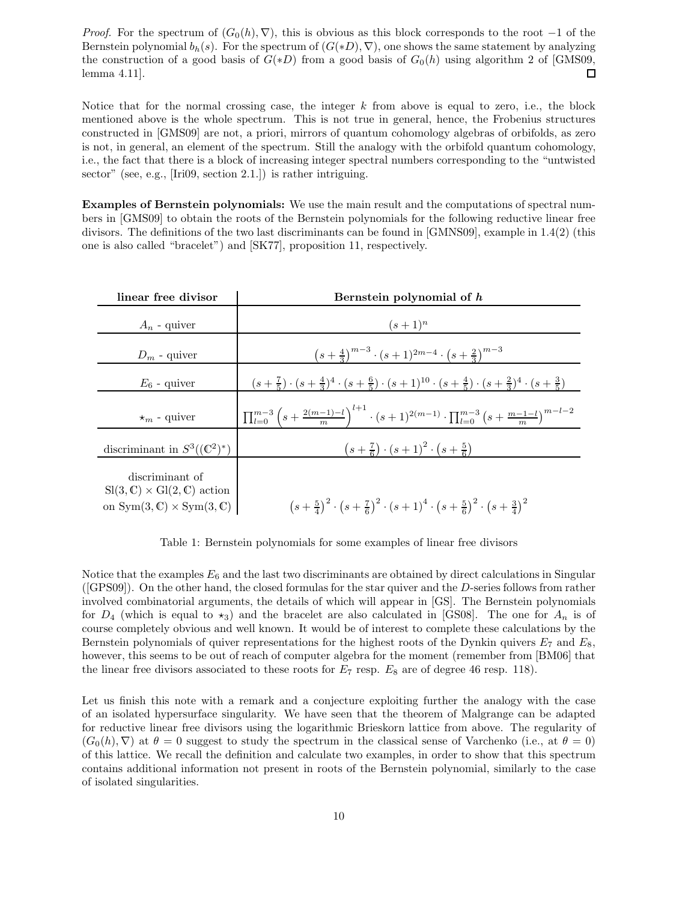*Proof.* For the spectrum of  $(G_0(h), \nabla)$ , this is obvious as this block corresponds to the root –1 of the Bernstein polynomial  $b_h(s)$ . For the spectrum of  $(G(*D), \nabla)$ , one shows the same statement by analyzing the construction of a good basis of  $G(*D)$  from a good basis of  $G_0(h)$  using algorithm 2 of [GMS09, lemma 4.11]. lemma 4.11].

Notice that for the normal crossing case, the integer  $k$  from above is equal to zero, i.e., the block mentioned above is the whole spectrum. This is not true in general, hence, the Frobenius structures constructed in [GMS09] are not, a priori, mirrors of quantum cohomology algebras of orbifolds, as zero is not, in general, an element of the spectrum. Still the analogy with the orbifold quantum cohomology, i.e., the fact that there is a block of increasing integer spectral numbers corresponding to the "untwisted sector" (see, e.g., [Iri09, section 2.1.]) is rather intriguing.

**Examples of Bernstein polynomials:** We use the main result and the computations of spectral numbers in [GMS09] to obtain the roots of the Bernstein polynomials for the following reductive linear free divisors. The definitions of the two last discriminants can be found in [GMNS09], example in 1.4(2) (this one is also called "bracelet") and [SK77], proposition 11, respectively.

| linear free divisor                                                                                                      | Bernstein polynomial of h                                                                                                                       |
|--------------------------------------------------------------------------------------------------------------------------|-------------------------------------------------------------------------------------------------------------------------------------------------|
| $A_n$ - quiver                                                                                                           | $(s+1)^n$                                                                                                                                       |
| $D_m$ - quiver                                                                                                           | $(s+\frac{4}{3})^{m-3} \cdot (s+1)^{2m-4} \cdot (s+\frac{2}{3})^{m-3}$                                                                          |
| $E_6$ - quiver                                                                                                           | $(s+\frac{7}{5})\cdot (s+\frac{4}{3})^4\cdot (s+\frac{6}{5})\cdot (s+1)^{10}\cdot (s+\frac{4}{5})\cdot (s+\frac{2}{3})^4\cdot (s+\frac{3}{5})$  |
| $\star_m$ - quiver                                                                                                       | $\prod_{l=0}^{m-3} \left(s+\frac{2(m-1)-l}{m}\right)^{l+1} \cdot (s+1)^{2(m-1)} \cdot \prod_{l=0}^{m-3} \left(s+\frac{m-1-l}{m}\right)^{m-l-2}$ |
| discriminant in $S^3((\mathbb{C}^2)^*)$                                                                                  | $(s+\frac{7}{6}) \cdot (s+1)^2 \cdot (s+\frac{5}{6})$                                                                                           |
| discriminant of<br>$Sl(3,\mathbb{C})\times Gl(2,\mathbb{C})$ action<br>on $Sym(3, \mathbb{C}) \times Sym(3, \mathbb{C})$ | $(s+\frac{5}{4})^2 \cdot (s+\frac{7}{6})^2 \cdot (s+1)^4 \cdot (s+\frac{5}{6})^2 \cdot (s+\frac{3}{4})^2$                                       |

Table 1: Bernstein polynomials for some examples of linear free divisors

Notice that the examples  $E_6$  and the last two discriminants are obtained by direct calculations in Singular ([GPS09]). On the other hand, the closed formulas for the star quiver and the D-series follows from rather involved combinatorial arguments, the details of which will appear in [GS]. The Bernstein polynomials for  $D_4$  (which is equal to  $\star_3$ ) and the bracelet are also calculated in [GS08]. The one for  $A_n$  is of course completely obvious and well known. It would be of interest to complete these calculations by the Bernstein polynomials of quiver representations for the highest roots of the Dynkin quivers  $E_7$  and  $E_8$ , however, this seems to be out of reach of computer algebra for the moment (remember from [BM06] that the linear free divisors associated to these roots for  $E_7$  resp.  $E_8$  are of degree 46 resp. 118).

Let us finish this note with a remark and a conjecture exploiting further the analogy with the case of an isolated hypersurface singularity. We have seen that the theorem of Malgrange can be adapted for reductive linear free divisors using the logarithmic Brieskorn lattice from above. The regularity of  $(G_0(h), \nabla)$  at  $\theta = 0$  suggest to study the spectrum in the classical sense of Varchenko (i.e., at  $\theta = 0$ ) of this lattice. We recall the definition and calculate two examples, in order to show that this spectrum contains additional information not present in roots of the Bernstein polynomial, similarly to the case of isolated singularities.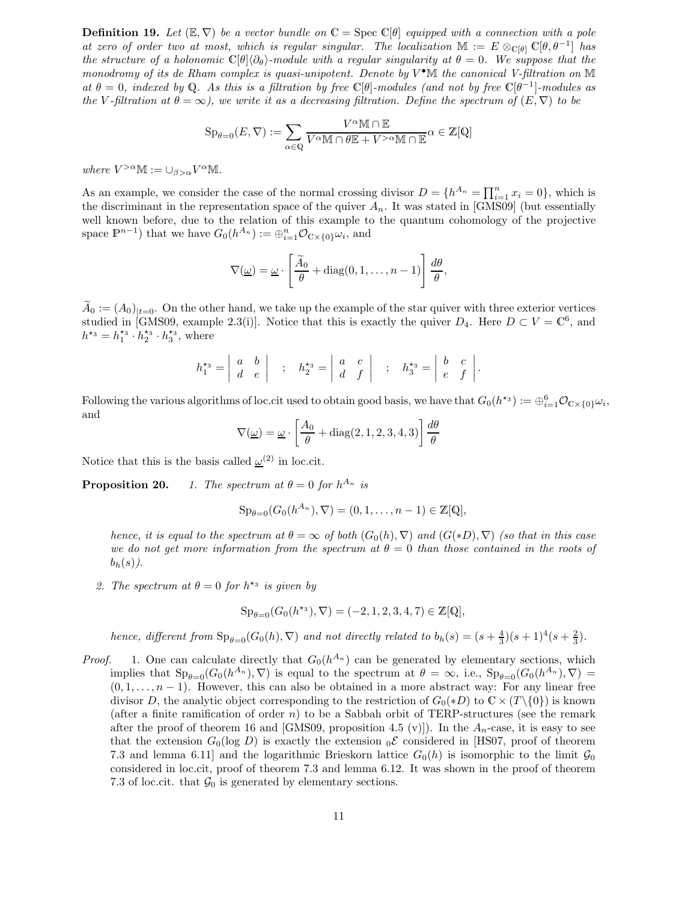**Definition 19.** Let  $(\mathbb{E}, \nabla)$  be a vector bundle on  $\mathbb{C} = \text{Spec } \mathbb{C}[\theta]$  equipped with a connection with a pole *at zero of order two at most, which is regular singular. The localization*  $\mathbb{M} := E \otimes_{\mathbb{C}[\theta]} \mathbb{C}[\theta, \theta^{-1}]$  *has the structure of a holonomic*  $\mathbb{C}[\theta]\langle\partial_{\theta}\rangle$ -module with a regular singularity at  $\theta = 0$ . We suppose that the *monodromy of its de Rham complex is quasi-unipotent. Denote by*  $V^{\bullet}$ M *the canonical V-filtration on* M  $a t \theta = 0$ , indexed by Q. As this is a filtration by free  $\mathbb{C}[\theta]$ -modules (and not by free  $\mathbb{C}[\theta^{-1}]$ -modules as *the* V-filtration at  $\theta = \infty$ , we write it as a decreasing filtration. Define the spectrum of  $(E, \nabla)$  to be

$$
\mathrm{Sp}_{\theta=0}(E,\nabla):=\sum_{\alpha\in\mathbb{Q}}\frac{V^{\alpha}\mathbb{M}\cap\mathbb{E}}{V^{\alpha}\mathbb{M}\cap\theta\mathbb{E}+V^{>\alpha}\mathbb{M}\cap\mathbb{E}}\alpha\in\mathbb{Z}[\mathbb{Q}]
$$

*where*  $V^{>\alpha} \mathbb{M} := \bigcup_{\beta > \alpha} V^{\alpha} \mathbb{M}$ .

As an example, we consider the case of the normal crossing divisor  $D = \{h^{A_n} = \prod_{i=1}^n x_i = 0\}$ , which is<br>the discriminant in the representation space of the quiver  $A$ . It was stated in [GMS00] (but essentially the discriminant in the representation space of the quiver  $A_n$ . It was stated in [GMS09] (but essentially well known before, due to the relation of this example to the quantum cohomology of the projective space  $\mathbb{P}^{n-1}$ ) that we have  $G_0(h^{A_n}) := \bigoplus_{i=1}^n \mathcal{O}_{\mathbb{C} \times \{0\}} \omega_i$ , and

$$
\nabla(\underline{\omega}) = \underline{\omega} \cdot \left[ \frac{\widetilde{A}_0}{\theta} + \text{diag}(0, 1, \dots, n-1) \right] \frac{d\theta}{\theta},
$$

 $\tilde{A}_0 := (A_0)_{t=0}$ . On the other hand, we take up the example of the star quiver with three exterior vertices studied in [GMS09, example 2.3(i)]. Notice that this is exactly the quiver  $D_4$ . Here  $D \subset V = \mathbb{C}^6$ , and  $h^{*3} = h_1^{*3} \cdot h_2^{*3} \cdot h_3^{*3}$ , where

$$
h_1^{\star_3} = \begin{vmatrix} a & b \\ d & e \end{vmatrix} ; h_2^{\star_3} = \begin{vmatrix} a & c \\ d & f \end{vmatrix} ; h_3^{\star_3} = \begin{vmatrix} b & c \\ e & f \end{vmatrix}.
$$

Following the various algorithms of loc.cit used to obtain good basis, we have that  $G_0(h^{*s}) := \bigoplus_{i=1}^6 \mathcal{O}_{\mathbb{C} \times \{0\}} \omega_i$ , and

$$
\nabla(\underline{\omega}) = \underline{\omega} \cdot \left[ \frac{A_0}{\theta} + \text{diag}(2, 1, 2, 3, 4, 3) \right] \frac{d\theta}{\theta}
$$

Notice that this is the basis called  $\omega^{(2)}$  in loc.cit.

**Proposition 20.** *1. The spectrum at*  $\theta = 0$  *for*  $h^{A_n}$  *is* 

$$
Sp_{\theta=0}(G_0(h^{A_n}), \nabla) = (0, 1, \dots, n-1) \in \mathbb{Z}[Q],
$$

*hence, it is equal to the spectrum at*  $\theta = \infty$  *of both*  $(G_0(h), \nabla)$  *and*  $(G(*D), \nabla)$  *(so that in this case we do not get more information from the spectrum at*  $\theta = 0$  *than those contained in the roots of*  $b_h(s)$ .

2. The spectrum at  $\theta = 0$  for  $h^*$ <sup>3</sup> is given by

$$
Sp_{\theta=0}(G_0(h^{\star_3}), \nabla) = (-2, 1, 2, 3, 4, 7) \in \mathbb{Z}[\mathbb{Q}],
$$

*hence, different from*  $Sp_{\theta=0}(G_0(h), \nabla)$  *and not directly related to*  $b_h(s) = (s + \frac{4}{3})(s + 1)^4(s + \frac{2}{3})$ *.* 

*Proof.* 1. One can calculate directly that  $G_0(h^{A_n})$  can be generated by elementary sections, which implies that  $Sp_{\theta=0}(G_0(h^{A_n}), \nabla)$  is equal to the spectrum at  $\theta = \infty$ , i.e.,  $Sp_{\theta=0}(G_0(h^{A_n}), \nabla)$  $(0, 1, \ldots, n-1)$ . However, this can also be obtained in a more abstract way: For any linear free divisor D, the analytic object corresponding to the restriction of  $G_0(*D)$  to  $\mathbb{C} \times (T \setminus \{0\})$  is known (after a finite ramification of order  $n$ ) to be a Sabbah orbit of TERP-structures (see the remark after the proof of theorem 16 and [GMS09, proposition 4.5 (v)]). In the  $A_n$ -case, it is easy to see that the extension  $G_0(\log D)$  is exactly the extension  $_0\mathcal{E}$  considered in [HS07, proof of theorem 7.3 and lemma 6.11] and the logarithmic Brieskorn lattice  $G_0(h)$  is isomorphic to the limit  $\mathcal{G}_0$ considered in loc.cit, proof of theorem 7.3 and lemma 6.12. It was shown in the proof of theorem 7.3 of loc.cit. that  $\mathcal{G}_0$  is generated by elementary sections.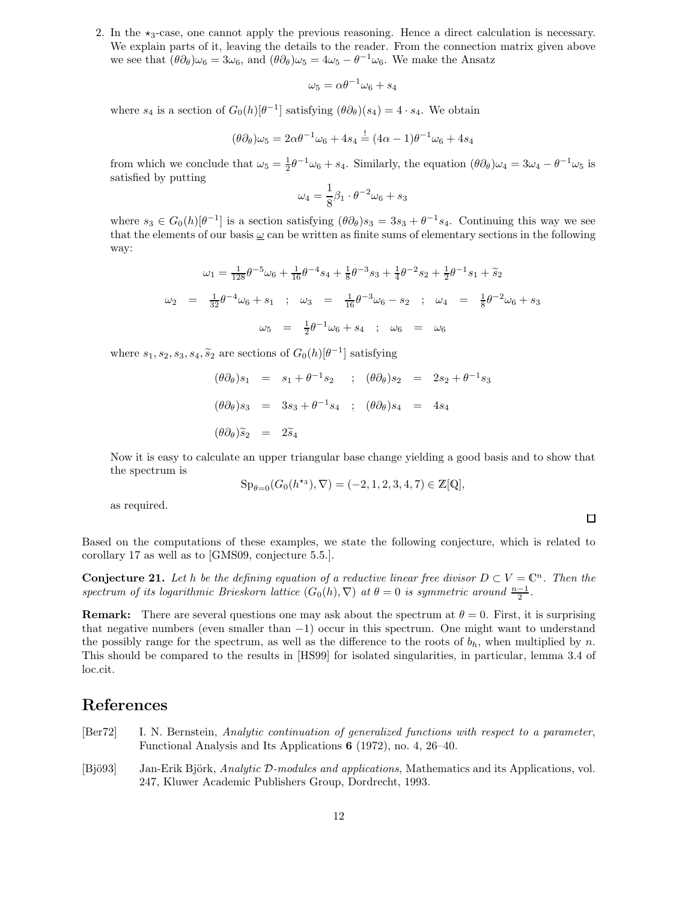2. In the  $\star_3$ -case, one cannot apply the previous reasoning. Hence a direct calculation is necessary. We explain parts of it, leaving the details to the reader. From the connection matrix given above we see that  $(\theta \partial_{\theta})\omega_6 = 3\omega_6$ , and  $(\theta \partial_{\theta})\omega_5 = 4\omega_5 - \theta^{-1}\omega_6$ . We make the Ansatz

$$
\omega_5 = \alpha \theta^{-1} \omega_6 + s_4
$$

where  $s_4$  is a section of  $G_0(h)[\theta^{-1}]$  satisfying  $(\theta \partial_{\theta})(s_4)=4 \cdot s_4$ . We obtain

$$
(\theta \partial_{\theta})\omega_5 = 2\alpha \theta^{-1} \omega_6 + 4s_4 \stackrel{!}{=} (4\alpha - 1)\theta^{-1} \omega_6 + 4s_4
$$

from which we conclude that  $\omega_5 = \frac{1}{2}\theta^{-1}\omega_6 + s_4$ . Similarly, the equation  $(\theta \partial_{\theta})\omega_4 = 3\omega_4 - \theta^{-1}\omega_5$  is satisfied by putting satisfied by putting

$$
\omega_4 = \frac{1}{8}\beta_1 \cdot \theta^{-2} \omega_6 + s_3
$$

where  $s_3 \in G_0(h)[\theta^{-1}]$  is a section satisfying  $(\theta \partial_{\theta})s_3 = 3s_3 + \theta^{-1}s_4$ . Continuing this way we see that the elements of our basis  $\omega$  can be written as finite sums of elementary sections in the following way:

$$
\omega_1 = \frac{1}{128} \theta^{-5} \omega_6 + \frac{1}{16} \theta^{-4} s_4 + \frac{1}{8} \theta^{-3} s_3 + \frac{1}{4} \theta^{-2} s_2 + \frac{1}{2} \theta^{-1} s_1 + \tilde{s}_2
$$
  

$$
\omega_2 = \frac{1}{32} \theta^{-4} \omega_6 + s_1 \quad ; \quad \omega_3 = \frac{1}{16} \theta^{-3} \omega_6 - s_2 \quad ; \quad \omega_4 = \frac{1}{8} \theta^{-2} \omega_6 + s_3
$$
  

$$
\omega_5 = \frac{1}{2} \theta^{-1} \omega_6 + s_4 \quad ; \quad \omega_6 = \omega_6
$$

where  $s_1, s_2, s_3, s_4, \tilde{s}_2$  are sections of  $G_0(h)[\theta^{-1}]$  satisfying

$$
(\theta \partial_{\theta})s_1 = s_1 + \theta^{-1} s_2; \quad (\theta \partial_{\theta})s_2 = 2s_2 + \theta^{-1} s_3
$$
  

$$
(\theta \partial_{\theta})s_3 = 3s_3 + \theta^{-1} s_4; \quad (\theta \partial_{\theta})s_4 = 4s_4
$$
  

$$
(\theta \partial_{\theta})\tilde{s}_2 = 2\tilde{s}_4
$$

Now it is easy to calculate an upper triangular base change yielding a good basis and to show that the spectrum is

$$
Sp_{\theta=0}(G_0(h^{\star_3}), \nabla) = (-2, 1, 2, 3, 4, 7) \in \mathbb{Z}[\mathbb{Q}],
$$

as required.

Based on the computations of these examples, we state the following conjecture, which is related to corollary 17 as well as to [GMS09, conjecture 5.5.].

**Conjecture 21.** Let h be the defining equation of a reductive linear free divisor  $D \subset V = \mathbb{C}^n$ . Then the *spectrum of its logarithmic Brieskorn lattice*  $(G_0(h), \nabla)$  *at*  $\theta = 0$  *is symmetric around*  $\frac{n-1}{2}$ *.* 

**Remark:** There are several questions one may ask about the spectrum at  $\theta = 0$ . First, it is surprising that negative numbers (even smaller than −1) occur in this spectrum. One might want to understand the possibly range for the spectrum, as well as the difference to the roots of  $b<sub>h</sub>$ , when multiplied by n. This should be compared to the results in [HS99] for isolated singularities, in particular, lemma 3.4 of loc.cit.

#### **References**

- [Ber72] I. N. Bernstein, *Analytic continuation of generalized functions with respect to a parameter*, Functional Analysis and Its Applications **6** (1972), no. 4, 26–40.
- [Bjö93] Jan-Erik Björk, *Analytic* D-modules and applications, Mathematics and its Applications, vol. 247, Kluwer Academic Publishers Group, Dordrecht, 1993.

 $\Box$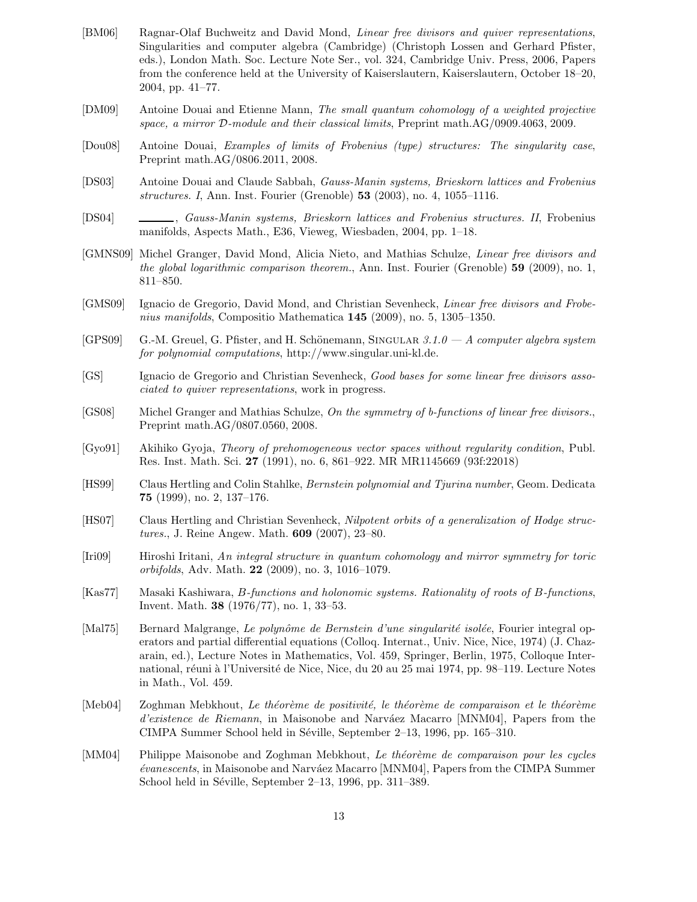- [BM06] Ragnar-Olaf Buchweitz and David Mond, *Linear free divisors and quiver representations*, Singularities and computer algebra (Cambridge) (Christoph Lossen and Gerhard Pfister, eds.), London Math. Soc. Lecture Note Ser., vol. 324, Cambridge Univ. Press, 2006, Papers from the conference held at the University of Kaiserslautern, Kaiserslautern, October 18–20, 2004, pp. 41–77.
- [DM09] Antoine Douai and Etienne Mann, *The small quantum cohomology of a weighted projective space, a mirror* D*-module and their classical limits*, Preprint math.AG/0909.4063, 2009.
- [Dou08] Antoine Douai, *Examples of limits of Frobenius (type) structures: The singularity case*, Preprint math.AG/0806.2011, 2008.
- [DS03] Antoine Douai and Claude Sabbah, *Gauss-Manin systems, Brieskorn lattices and Frobenius structures. I*, Ann. Inst. Fourier (Grenoble) **53** (2003), no. 4, 1055–1116.
- [DS04] , *Gauss-Manin systems, Brieskorn lattices and Frobenius structures. II*, Frobenius manifolds, Aspects Math., E36, Vieweg, Wiesbaden, 2004, pp. 1–18.
- [GMNS09] Michel Granger, David Mond, Alicia Nieto, and Mathias Schulze, *Linear free divisors and the global logarithmic comparison theorem.*, Ann. Inst. Fourier (Grenoble) **59** (2009), no. 1, 811–850.
- [GMS09] Ignacio de Gregorio, David Mond, and Christian Sevenheck, *Linear free divisors and Frobenius manifolds*, Compositio Mathematica **145** (2009), no. 5, 1305–1350.
- [GPS09] G.-M. Greuel, G. Pfister, and H. Sch¨onemann, Singular *3.1.0 A computer algebra system for polynomial computations*, http://www.singular.uni-kl.de.
- [GS] Ignacio de Gregorio and Christian Sevenheck, *Good bases for some linear free divisors associated to quiver representations*, work in progress.
- [GS08] Michel Granger and Mathias Schulze, *On the symmetry of b-functions of linear free divisors.*, Preprint math.AG/0807.0560, 2008.
- [Gyo91] Akihiko Gyoja, *Theory of prehomogeneous vector spaces without regularity condition*, Publ. Res. Inst. Math. Sci. **27** (1991), no. 6, 861–922. MR MR1145669 (93f:22018)
- [HS99] Claus Hertling and Colin Stahlke, *Bernstein polynomial and Tjurina number*, Geom. Dedicata **75** (1999), no. 2, 137–176.
- [HS07] Claus Hertling and Christian Sevenheck, *Nilpotent orbits of a generalization of Hodge structures.*, J. Reine Angew. Math. **609** (2007), 23–80.
- [Iri09] Hiroshi Iritani, *An integral structure in quantum cohomology and mirror symmetry for toric orbifolds*, Adv. Math. **22** (2009), no. 3, 1016–1079.
- [Kas77] Masaki Kashiwara, B*-functions and holonomic systems. Rationality of roots of* B*-functions*, Invent. Math. **38** (1976/77), no. 1, 33–53.
- [Mal75] Bernard Malgrange, *Le polynôme de Bernstein d'une singularité isolée*, Fourier integral operators and partial differential equations (Colloq. Internat., Univ. Nice, Nice, 1974) (J. Chazarain, ed.), Lecture Notes in Mathematics, Vol. 459, Springer, Berlin, 1975, Colloque International, réuni à l'Université de Nice, Nice, du 20 au 25 mai 1974, pp. 98–119. Lecture Notes in Math., Vol. 459.
- [Meb04] Zoghman Mebkhout, *Le th´eor`eme de positivit´e, le th´eor`eme de comparaison et le th´eor`eme d'existence de Riemann*, in Maisonobe and Narváez Macarro [MNM04], Papers from the CIMPA Summer School held in Séville, September 2–13, 1996, pp. 165–310.
- [MM04] Philippe Maisonobe and Zoghman Mebkhout, *Le théorème de comparaison pour les cycles*  $évanescents$ , in Maisonobe and Narváez Macarro [MNM04], Papers from the CIMPA Summer School held in Séville, September  $2-13$ , 1996, pp. 311–389.